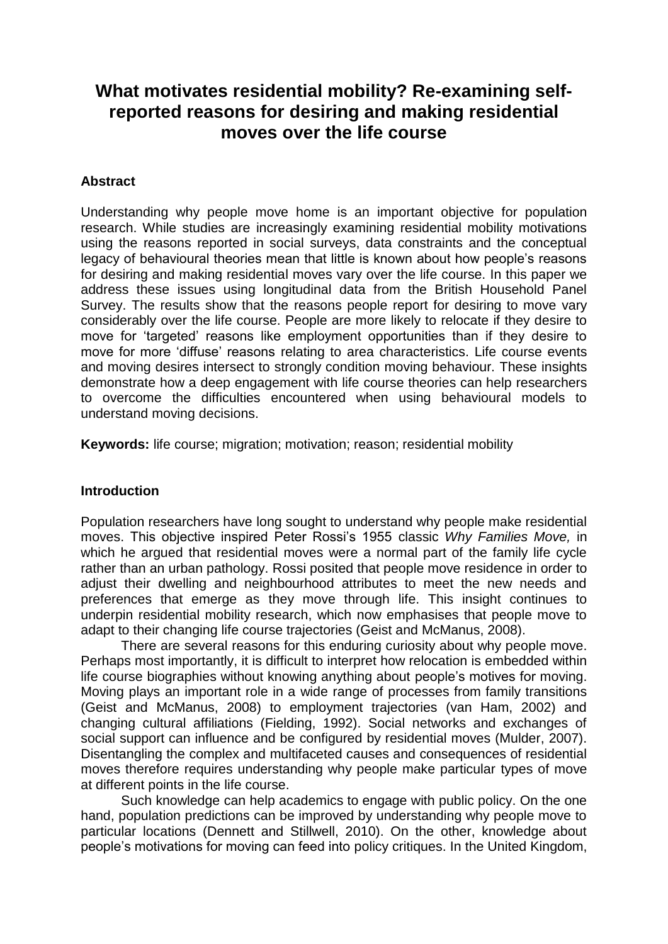## **What motivates residential mobility? Re-examining selfreported reasons for desiring and making residential moves over the life course**

#### **Abstract**

Understanding why people move home is an important objective for population research. While studies are increasingly examining residential mobility motivations using the reasons reported in social surveys, data constraints and the conceptual legacy of behavioural theories mean that little is known about how people's reasons for desiring and making residential moves vary over the life course. In this paper we address these issues using longitudinal data from the British Household Panel Survey. The results show that the reasons people report for desiring to move vary considerably over the life course. People are more likely to relocate if they desire to move for 'targeted' reasons like employment opportunities than if they desire to move for more 'diffuse' reasons relating to area characteristics. Life course events and moving desires intersect to strongly condition moving behaviour. These insights demonstrate how a deep engagement with life course theories can help researchers to overcome the difficulties encountered when using behavioural models to understand moving decisions.

**Keywords:** life course; migration; motivation; reason; residential mobility

#### **Introduction**

Population researchers have long sought to understand why people make residential moves. This objective inspired Peter Rossi's 1955 classic *Why Families Move,* in which he argued that residential moves were a normal part of the family life cycle rather than an urban pathology. Rossi posited that people move residence in order to adjust their dwelling and neighbourhood attributes to meet the new needs and preferences that emerge as they move through life. This insight continues to underpin residential mobility research, which now emphasises that people move to adapt to their changing life course trajectories (Geist and McManus, 2008).

There are several reasons for this enduring curiosity about why people move. Perhaps most importantly, it is difficult to interpret how relocation is embedded within life course biographies without knowing anything about people's motives for moving. Moving plays an important role in a wide range of processes from family transitions (Geist and McManus, 2008) to employment trajectories (van Ham, 2002) and changing cultural affiliations (Fielding, 1992). Social networks and exchanges of social support can influence and be configured by residential moves (Mulder, 2007). Disentangling the complex and multifaceted causes and consequences of residential moves therefore requires understanding why people make particular types of move at different points in the life course.

Such knowledge can help academics to engage with public policy. On the one hand, population predictions can be improved by understanding why people move to particular locations (Dennett and Stillwell, 2010). On the other, knowledge about people's motivations for moving can feed into policy critiques. In the United Kingdom,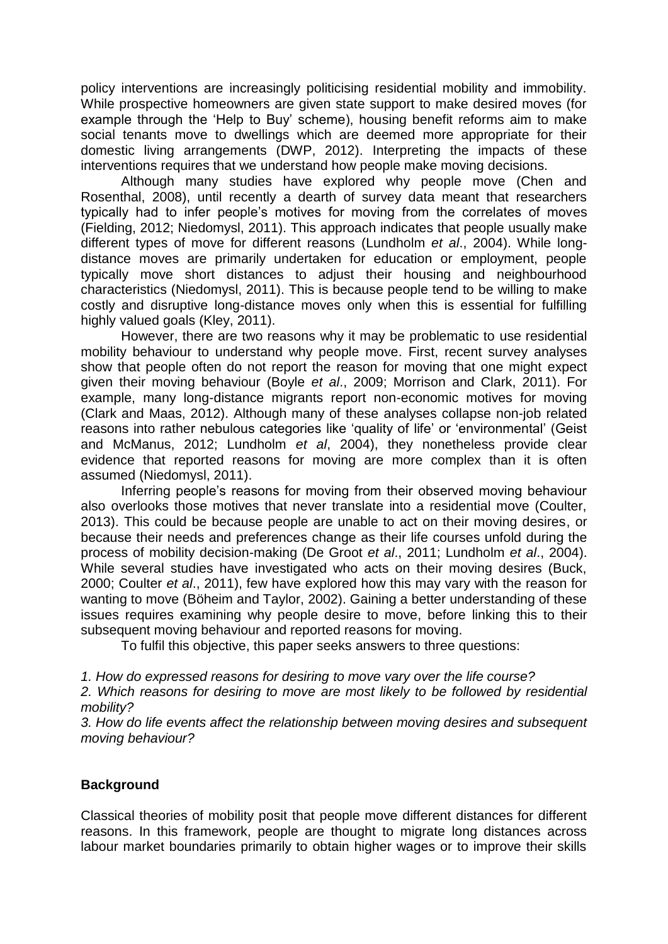policy interventions are increasingly politicising residential mobility and immobility. While prospective homeowners are given state support to make desired moves (for example through the 'Help to Buy' scheme), housing benefit reforms aim to make social tenants move to dwellings which are deemed more appropriate for their domestic living arrangements (DWP, 2012). Interpreting the impacts of these interventions requires that we understand how people make moving decisions.

Although many studies have explored why people move (Chen and Rosenthal, 2008), until recently a dearth of survey data meant that researchers typically had to infer people's motives for moving from the correlates of moves (Fielding, 2012; Niedomysl, 2011). This approach indicates that people usually make different types of move for different reasons (Lundholm *et al*., 2004). While longdistance moves are primarily undertaken for education or employment, people typically move short distances to adjust their housing and neighbourhood characteristics (Niedomysl, 2011). This is because people tend to be willing to make costly and disruptive long-distance moves only when this is essential for fulfilling highly valued goals (Kley, 2011).

However, there are two reasons why it may be problematic to use residential mobility behaviour to understand why people move. First, recent survey analyses show that people often do not report the reason for moving that one might expect given their moving behaviour (Boyle *et al*., 2009; Morrison and Clark, 2011). For example, many long-distance migrants report non-economic motives for moving (Clark and Maas, 2012). Although many of these analyses collapse non-job related reasons into rather nebulous categories like 'quality of life' or 'environmental' (Geist and McManus, 2012; Lundholm *et al*, 2004), they nonetheless provide clear evidence that reported reasons for moving are more complex than it is often assumed (Niedomysl, 2011).

Inferring people's reasons for moving from their observed moving behaviour also overlooks those motives that never translate into a residential move (Coulter, 2013). This could be because people are unable to act on their moving desires, or because their needs and preferences change as their life courses unfold during the process of mobility decision-making (De Groot *et al*., 2011; Lundholm *et al*., 2004). While several studies have investigated who acts on their moving desires (Buck, 2000; Coulter *et al*., 2011), few have explored how this may vary with the reason for wanting to move (Böheim and Taylor, 2002). Gaining a better understanding of these issues requires examining why people desire to move, before linking this to their subsequent moving behaviour and reported reasons for moving.

To fulfil this objective, this paper seeks answers to three questions:

*1. How do expressed reasons for desiring to move vary over the life course?*

*2. Which reasons for desiring to move are most likely to be followed by residential mobility?* 

*3. How do life events affect the relationship between moving desires and subsequent moving behaviour?*

## **Background**

Classical theories of mobility posit that people move different distances for different reasons. In this framework, people are thought to migrate long distances across labour market boundaries primarily to obtain higher wages or to improve their skills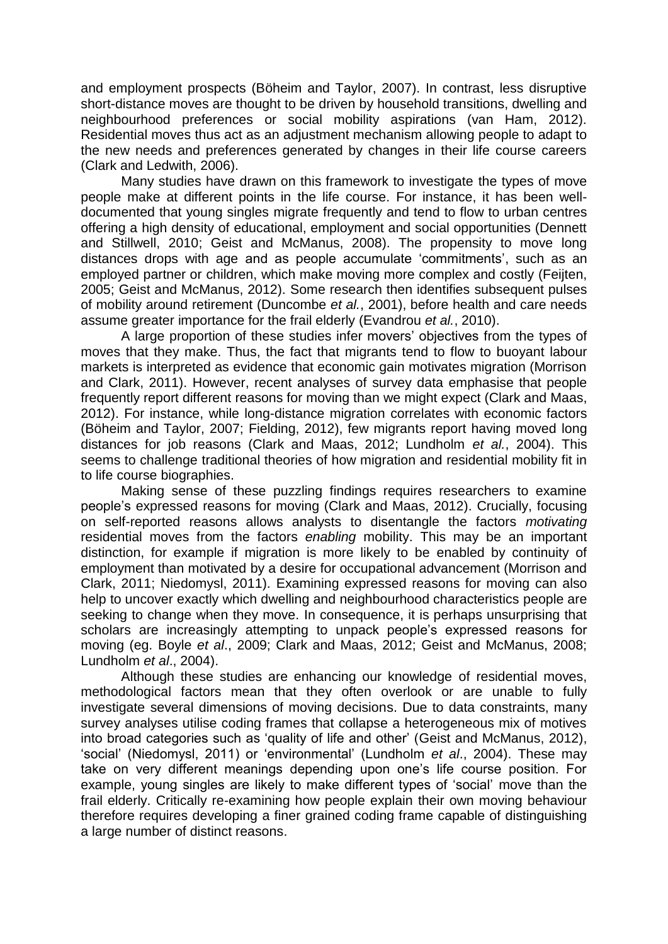and employment prospects (Böheim and Taylor, 2007). In contrast, less disruptive short-distance moves are thought to be driven by household transitions, dwelling and neighbourhood preferences or social mobility aspirations (van Ham, 2012). Residential moves thus act as an adjustment mechanism allowing people to adapt to the new needs and preferences generated by changes in their life course careers (Clark and Ledwith, 2006).

Many studies have drawn on this framework to investigate the types of move people make at different points in the life course. For instance, it has been welldocumented that young singles migrate frequently and tend to flow to urban centres offering a high density of educational, employment and social opportunities (Dennett and Stillwell, 2010; Geist and McManus, 2008). The propensity to move long distances drops with age and as people accumulate 'commitments', such as an employed partner or children, which make moving more complex and costly (Feijten, 2005; Geist and McManus, 2012). Some research then identifies subsequent pulses of mobility around retirement (Duncombe *et al.*, 2001), before health and care needs assume greater importance for the frail elderly (Evandrou *et al.*, 2010).

A large proportion of these studies infer movers' objectives from the types of moves that they make. Thus, the fact that migrants tend to flow to buoyant labour markets is interpreted as evidence that economic gain motivates migration (Morrison and Clark, 2011). However, recent analyses of survey data emphasise that people frequently report different reasons for moving than we might expect (Clark and Maas, 2012). For instance, while long-distance migration correlates with economic factors (Böheim and Taylor, 2007; Fielding, 2012), few migrants report having moved long distances for job reasons (Clark and Maas, 2012; Lundholm *et al.*, 2004). This seems to challenge traditional theories of how migration and residential mobility fit in to life course biographies.

Making sense of these puzzling findings requires researchers to examine people's expressed reasons for moving (Clark and Maas, 2012). Crucially, focusing on self-reported reasons allows analysts to disentangle the factors *motivating* residential moves from the factors *enabling* mobility. This may be an important distinction, for example if migration is more likely to be enabled by continuity of employment than motivated by a desire for occupational advancement (Morrison and Clark, 2011; Niedomysl, 2011). Examining expressed reasons for moving can also help to uncover exactly which dwelling and neighbourhood characteristics people are seeking to change when they move. In consequence, it is perhaps unsurprising that scholars are increasingly attempting to unpack people's expressed reasons for moving (eg. Boyle *et al*., 2009; Clark and Maas, 2012; Geist and McManus, 2008; Lundholm *et al*., 2004).

Although these studies are enhancing our knowledge of residential moves, methodological factors mean that they often overlook or are unable to fully investigate several dimensions of moving decisions. Due to data constraints, many survey analyses utilise coding frames that collapse a heterogeneous mix of motives into broad categories such as 'quality of life and other' (Geist and McManus, 2012), 'social' (Niedomysl, 2011) or 'environmental' (Lundholm *et al*., 2004). These may take on very different meanings depending upon one's life course position. For example, young singles are likely to make different types of 'social' move than the frail elderly. Critically re-examining how people explain their own moving behaviour therefore requires developing a finer grained coding frame capable of distinguishing a large number of distinct reasons.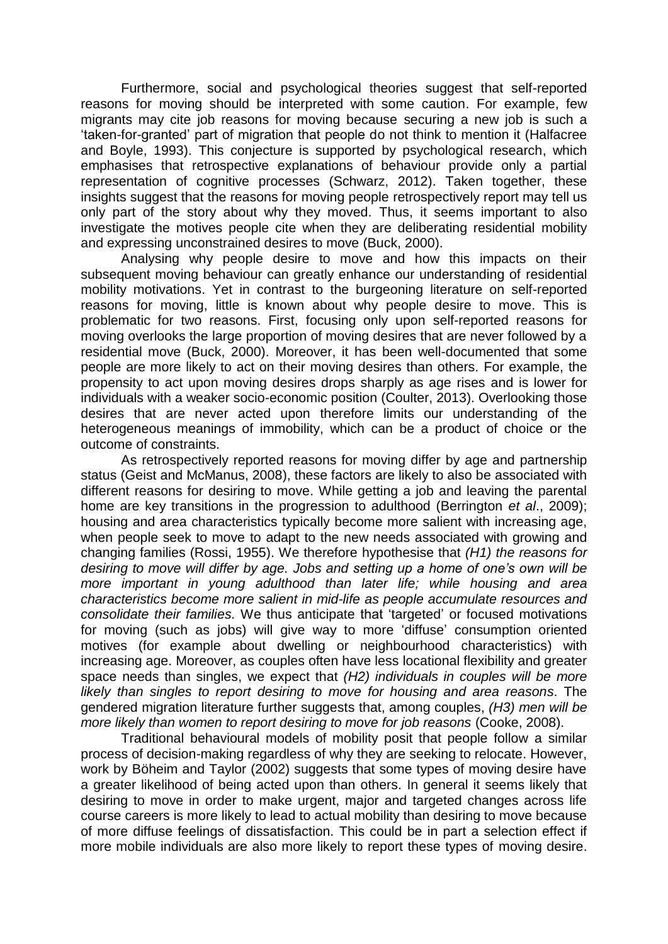Furthermore, social and psychological theories suggest that self-reported reasons for moving should be interpreted with some caution. For example, few migrants may cite job reasons for moving because securing a new job is such a 'taken-for-granted' part of migration that people do not think to mention it (Halfacree and Boyle, 1993). This conjecture is supported by psychological research, which emphasises that retrospective explanations of behaviour provide only a partial representation of cognitive processes (Schwarz, 2012). Taken together, these insights suggest that the reasons for moving people retrospectively report may tell us only part of the story about why they moved. Thus, it seems important to also investigate the motives people cite when they are deliberating residential mobility and expressing unconstrained desires to move (Buck, 2000).

Analysing why people desire to move and how this impacts on their subsequent moving behaviour can greatly enhance our understanding of residential mobility motivations. Yet in contrast to the burgeoning literature on self-reported reasons for moving, little is known about why people desire to move. This is problematic for two reasons. First, focusing only upon self-reported reasons for moving overlooks the large proportion of moving desires that are never followed by a residential move (Buck, 2000). Moreover, it has been well-documented that some people are more likely to act on their moving desires than others. For example, the propensity to act upon moving desires drops sharply as age rises and is lower for individuals with a weaker socio-economic position (Coulter, 2013). Overlooking those desires that are never acted upon therefore limits our understanding of the heterogeneous meanings of immobility, which can be a product of choice or the outcome of constraints.

As retrospectively reported reasons for moving differ by age and partnership status (Geist and McManus, 2008), these factors are likely to also be associated with different reasons for desiring to move. While getting a job and leaving the parental home are key transitions in the progression to adulthood (Berrington *et al*., 2009); housing and area characteristics typically become more salient with increasing age, when people seek to move to adapt to the new needs associated with growing and changing families (Rossi, 1955). We therefore hypothesise that *(H1) the reasons for desiring to move will differ by age. Jobs and setting up a home of one's own will be more important in young adulthood than later life; while housing and area characteristics become more salient in mid-life as people accumulate resources and consolidate their families.* We thus anticipate that 'targeted' or focused motivations for moving (such as jobs) will give way to more 'diffuse' consumption oriented motives (for example about dwelling or neighbourhood characteristics) with increasing age. Moreover, as couples often have less locational flexibility and greater space needs than singles, we expect that *(H2) individuals in couples will be more likely than singles to report desiring to move for housing and area reasons*. The gendered migration literature further suggests that, among couples, *(H3) men will be more likely than women to report desiring to move for job reasons* (Cooke, 2008).

Traditional behavioural models of mobility posit that people follow a similar process of decision-making regardless of why they are seeking to relocate. However, work by Böheim and Taylor (2002) suggests that some types of moving desire have a greater likelihood of being acted upon than others. In general it seems likely that desiring to move in order to make urgent, major and targeted changes across life course careers is more likely to lead to actual mobility than desiring to move because of more diffuse feelings of dissatisfaction. This could be in part a selection effect if more mobile individuals are also more likely to report these types of moving desire.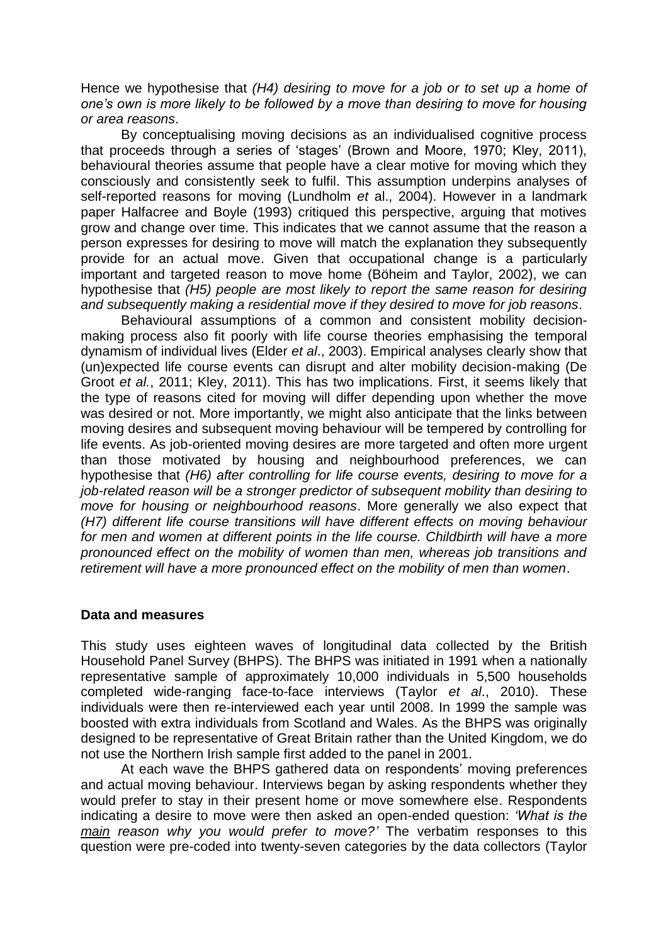Hence we hypothesise that *(H4) desiring to move for a job or to set up a home of one's own is more likely to be followed by a move than desiring to move for housing or area reasons*.

By conceptualising moving decisions as an individualised cognitive process that proceeds through a series of 'stages' (Brown and Moore, 1970; Kley, 2011), behavioural theories assume that people have a clear motive for moving which they consciously and consistently seek to fulfil. This assumption underpins analyses of self-reported reasons for moving (Lundholm *et* al., 2004). However in a landmark paper Halfacree and Boyle (1993) critiqued this perspective, arguing that motives grow and change over time. This indicates that we cannot assume that the reason a person expresses for desiring to move will match the explanation they subsequently provide for an actual move. Given that occupational change is a particularly important and targeted reason to move home (Böheim and Taylor, 2002), we can hypothesise that *(H5) people are most likely to report the same reason for desiring and subsequently making a residential move if they desired to move for job reasons*.

Behavioural assumptions of a common and consistent mobility decisionmaking process also fit poorly with life course theories emphasising the temporal dynamism of individual lives (Elder *et al*., 2003). Empirical analyses clearly show that (un)expected life course events can disrupt and alter mobility decision-making (De Groot *et al.*, 2011; Kley, 2011). This has two implications. First, it seems likely that the type of reasons cited for moving will differ depending upon whether the move was desired or not. More importantly, we might also anticipate that the links between moving desires and subsequent moving behaviour will be tempered by controlling for life events. As job-oriented moving desires are more targeted and often more urgent than those motivated by housing and neighbourhood preferences, we can hypothesise that *(H6) after controlling for life course events, desiring to move for a job-related reason will be a stronger predictor of subsequent mobility than desiring to move for housing or neighbourhood reasons*. More generally we also expect that *(H7) different life course transitions will have different effects on moving behaviour for men and women at different points in the life course. Childbirth will have a more pronounced effect on the mobility of women than men, whereas job transitions and retirement will have a more pronounced effect on the mobility of men than women*.

#### **Data and measures**

This study uses eighteen waves of longitudinal data collected by the British Household Panel Survey (BHPS). The BHPS was initiated in 1991 when a nationally representative sample of approximately 10,000 individuals in 5,500 households completed wide-ranging face-to-face interviews (Taylor *et al*., 2010). These individuals were then re-interviewed each year until 2008. In 1999 the sample was boosted with extra individuals from Scotland and Wales. As the BHPS was originally designed to be representative of Great Britain rather than the United Kingdom, we do not use the Northern Irish sample first added to the panel in 2001.

At each wave the BHPS gathered data on respondents' moving preferences and actual moving behaviour. Interviews began by asking respondents whether they would prefer to stay in their present home or move somewhere else. Respondents indicating a desire to move were then asked an open-ended question: *'What is the main reason why you would prefer to move?'* The verbatim responses to this question were pre-coded into twenty-seven categories by the data collectors (Taylor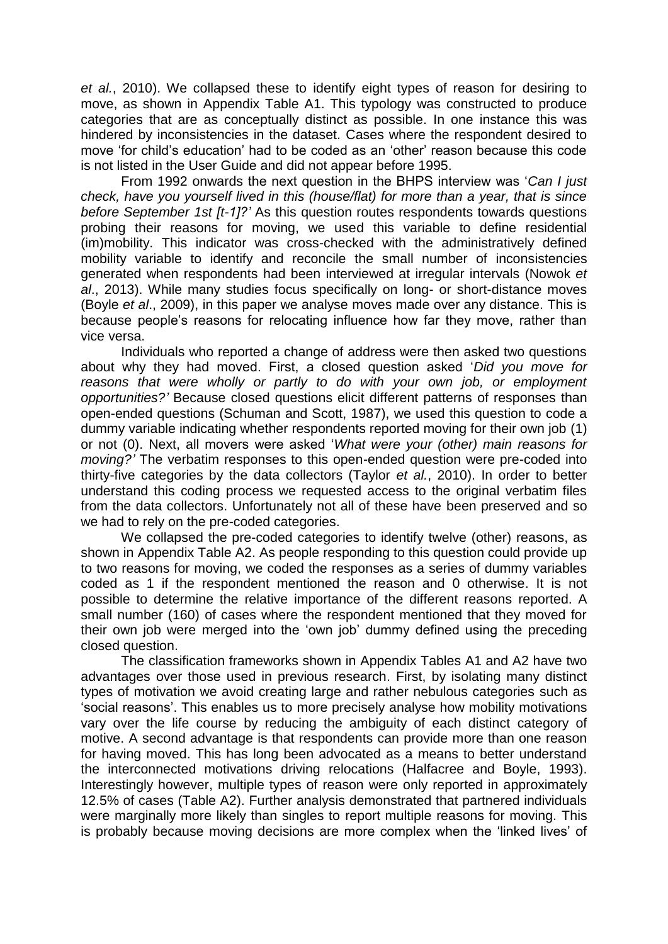*et al.*, 2010). We collapsed these to identify eight types of reason for desiring to move, as shown in Appendix Table A1. This typology was constructed to produce categories that are as conceptually distinct as possible. In one instance this was hindered by inconsistencies in the dataset. Cases where the respondent desired to move 'for child's education' had to be coded as an 'other' reason because this code is not listed in the User Guide and did not appear before 1995.

From 1992 onwards the next question in the BHPS interview was '*Can I just check, have you yourself lived in this (house/flat) for more than a year, that is since before September 1st [t-1]?'* As this question routes respondents towards questions probing their reasons for moving, we used this variable to define residential (im)mobility. This indicator was cross-checked with the administratively defined mobility variable to identify and reconcile the small number of inconsistencies generated when respondents had been interviewed at irregular intervals (Nowok *et al*., 2013). While many studies focus specifically on long- or short-distance moves (Boyle *et al*., 2009), in this paper we analyse moves made over any distance. This is because people's reasons for relocating influence how far they move, rather than vice versa.

Individuals who reported a change of address were then asked two questions about why they had moved. First, a closed question asked '*Did you move for*  reasons that were wholly or partly to do with your own job, or employment *opportunities?'* Because closed questions elicit different patterns of responses than open-ended questions (Schuman and Scott, 1987), we used this question to code a dummy variable indicating whether respondents reported moving for their own job (1) or not (0). Next, all movers were asked '*What were your (other) main reasons for moving?'* The verbatim responses to this open-ended question were pre-coded into thirty-five categories by the data collectors (Taylor *et al.*, 2010). In order to better understand this coding process we requested access to the original verbatim files from the data collectors. Unfortunately not all of these have been preserved and so we had to rely on the pre-coded categories.

We collapsed the pre-coded categories to identify twelve (other) reasons, as shown in Appendix Table A2. As people responding to this question could provide up to two reasons for moving, we coded the responses as a series of dummy variables coded as 1 if the respondent mentioned the reason and 0 otherwise. It is not possible to determine the relative importance of the different reasons reported. A small number (160) of cases where the respondent mentioned that they moved for their own job were merged into the 'own job' dummy defined using the preceding closed question.

The classification frameworks shown in Appendix Tables A1 and A2 have two advantages over those used in previous research. First, by isolating many distinct types of motivation we avoid creating large and rather nebulous categories such as 'social reasons'. This enables us to more precisely analyse how mobility motivations vary over the life course by reducing the ambiguity of each distinct category of motive. A second advantage is that respondents can provide more than one reason for having moved. This has long been advocated as a means to better understand the interconnected motivations driving relocations (Halfacree and Boyle, 1993). Interestingly however, multiple types of reason were only reported in approximately 12.5% of cases (Table A2). Further analysis demonstrated that partnered individuals were marginally more likely than singles to report multiple reasons for moving. This is probably because moving decisions are more complex when the 'linked lives' of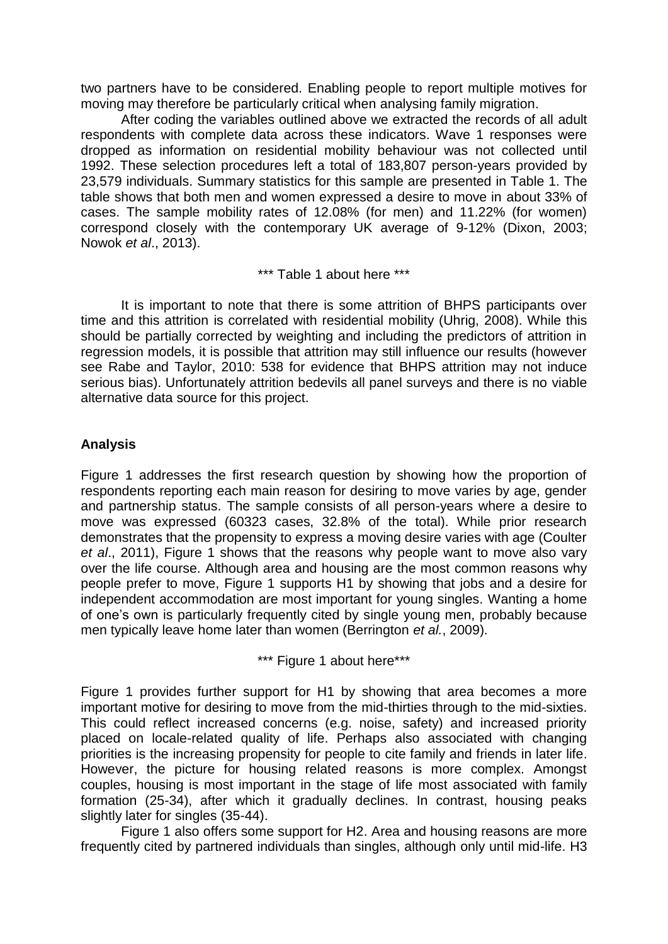two partners have to be considered. Enabling people to report multiple motives for moving may therefore be particularly critical when analysing family migration.

After coding the variables outlined above we extracted the records of all adult respondents with complete data across these indicators. Wave 1 responses were dropped as information on residential mobility behaviour was not collected until 1992. These selection procedures left a total of 183,807 person-years provided by 23,579 individuals. Summary statistics for this sample are presented in Table 1. The table shows that both men and women expressed a desire to move in about 33% of cases. The sample mobility rates of 12.08% (for men) and 11.22% (for women) correspond closely with the contemporary UK average of 9-12% (Dixon, 2003; Nowok *et al*., 2013).

\*\*\* Table 1 about here \*\*\*

It is important to note that there is some attrition of BHPS participants over time and this attrition is correlated with residential mobility (Uhrig, 2008). While this should be partially corrected by weighting and including the predictors of attrition in regression models, it is possible that attrition may still influence our results (however see Rabe and Taylor, 2010: 538 for evidence that BHPS attrition may not induce serious bias). Unfortunately attrition bedevils all panel surveys and there is no viable alternative data source for this project.

## **Analysis**

Figure 1 addresses the first research question by showing how the proportion of respondents reporting each main reason for desiring to move varies by age, gender and partnership status. The sample consists of all person-years where a desire to move was expressed (60323 cases, 32.8% of the total). While prior research demonstrates that the propensity to express a moving desire varies with age (Coulter *et al*., 2011), Figure 1 shows that the reasons why people want to move also vary over the life course. Although area and housing are the most common reasons why people prefer to move, Figure 1 supports H1 by showing that jobs and a desire for independent accommodation are most important for young singles. Wanting a home of one's own is particularly frequently cited by single young men, probably because men typically leave home later than women (Berrington *et al.*, 2009).

\*\*\* Figure 1 about here\*\*\*

Figure 1 provides further support for H1 by showing that area becomes a more important motive for desiring to move from the mid-thirties through to the mid-sixties. This could reflect increased concerns (e.g. noise, safety) and increased priority placed on locale-related quality of life. Perhaps also associated with changing priorities is the increasing propensity for people to cite family and friends in later life. However, the picture for housing related reasons is more complex. Amongst couples, housing is most important in the stage of life most associated with family formation (25-34), after which it gradually declines. In contrast, housing peaks slightly later for singles (35-44).

Figure 1 also offers some support for H2. Area and housing reasons are more frequently cited by partnered individuals than singles, although only until mid-life. H3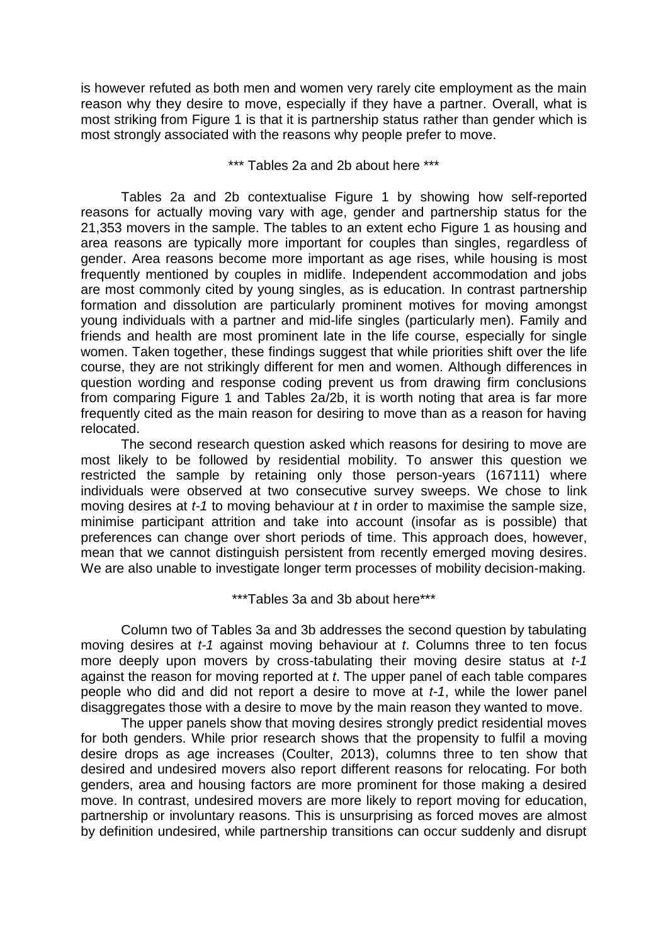is however refuted as both men and women very rarely cite employment as the main reason why they desire to move, especially if they have a partner. Overall, what is most striking from Figure 1 is that it is partnership status rather than gender which is most strongly associated with the reasons why people prefer to move.

\*\*\* Tables 2a and 2b about here \*\*\*

Tables 2a and 2b contextualise Figure 1 by showing how self-reported reasons for actually moving vary with age, gender and partnership status for the 21,353 movers in the sample. The tables to an extent echo Figure 1 as housing and area reasons are typically more important for couples than singles, regardless of gender. Area reasons become more important as age rises, while housing is most frequently mentioned by couples in midlife. Independent accommodation and jobs are most commonly cited by young singles, as is education. In contrast partnership formation and dissolution are particularly prominent motives for moving amongst young individuals with a partner and mid-life singles (particularly men). Family and friends and health are most prominent late in the life course, especially for single women. Taken together, these findings suggest that while priorities shift over the life course, they are not strikingly different for men and women. Although differences in question wording and response coding prevent us from drawing firm conclusions from comparing Figure 1 and Tables 2a/2b, it is worth noting that area is far more frequently cited as the main reason for desiring to move than as a reason for having relocated.

The second research question asked which reasons for desiring to move are most likely to be followed by residential mobility. To answer this question we restricted the sample by retaining only those person-years (167111) where individuals were observed at two consecutive survey sweeps. We chose to link moving desires at *t-1* to moving behaviour at *t* in order to maximise the sample size, minimise participant attrition and take into account (insofar as is possible) that preferences can change over short periods of time. This approach does, however, mean that we cannot distinguish persistent from recently emerged moving desires. We are also unable to investigate longer term processes of mobility decision-making.

\*\*\*Tables 3a and 3b about here\*\*\*

Column two of Tables 3a and 3b addresses the second question by tabulating moving desires at *t-1* against moving behaviour at *t*. Columns three to ten focus more deeply upon movers by cross-tabulating their moving desire status at *t-1* against the reason for moving reported at *t*. The upper panel of each table compares people who did and did not report a desire to move at *t-1*, while the lower panel disaggregates those with a desire to move by the main reason they wanted to move.

The upper panels show that moving desires strongly predict residential moves for both genders. While prior research shows that the propensity to fulfil a moving desire drops as age increases (Coulter, 2013), columns three to ten show that desired and undesired movers also report different reasons for relocating. For both genders, area and housing factors are more prominent for those making a desired move. In contrast, undesired movers are more likely to report moving for education, partnership or involuntary reasons. This is unsurprising as forced moves are almost by definition undesired, while partnership transitions can occur suddenly and disrupt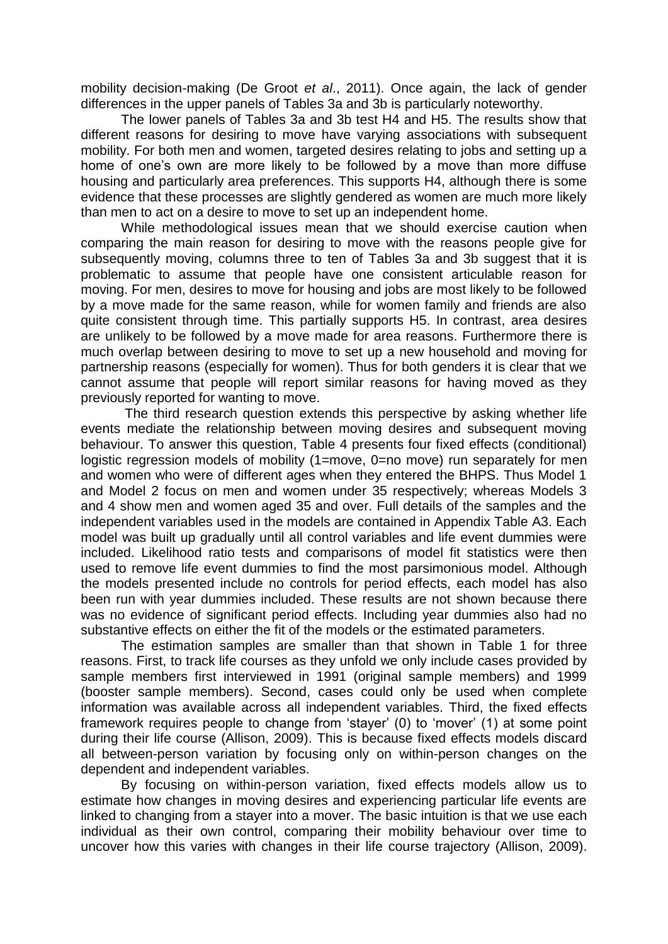mobility decision-making (De Groot *et al*., 2011). Once again, the lack of gender differences in the upper panels of Tables 3a and 3b is particularly noteworthy.

The lower panels of Tables 3a and 3b test H4 and H5. The results show that different reasons for desiring to move have varying associations with subsequent mobility. For both men and women, targeted desires relating to jobs and setting up a home of one's own are more likely to be followed by a move than more diffuse housing and particularly area preferences. This supports H4, although there is some evidence that these processes are slightly gendered as women are much more likely than men to act on a desire to move to set up an independent home.

While methodological issues mean that we should exercise caution when comparing the main reason for desiring to move with the reasons people give for subsequently moving, columns three to ten of Tables 3a and 3b suggest that it is problematic to assume that people have one consistent articulable reason for moving. For men, desires to move for housing and jobs are most likely to be followed by a move made for the same reason, while for women family and friends are also quite consistent through time. This partially supports H5. In contrast, area desires are unlikely to be followed by a move made for area reasons. Furthermore there is much overlap between desiring to move to set up a new household and moving for partnership reasons (especially for women). Thus for both genders it is clear that we cannot assume that people will report similar reasons for having moved as they previously reported for wanting to move.

The third research question extends this perspective by asking whether life events mediate the relationship between moving desires and subsequent moving behaviour. To answer this question, Table 4 presents four fixed effects (conditional) logistic regression models of mobility (1=move, 0=no move) run separately for men and women who were of different ages when they entered the BHPS. Thus Model 1 and Model 2 focus on men and women under 35 respectively; whereas Models 3 and 4 show men and women aged 35 and over. Full details of the samples and the independent variables used in the models are contained in Appendix Table A3. Each model was built up gradually until all control variables and life event dummies were included. Likelihood ratio tests and comparisons of model fit statistics were then used to remove life event dummies to find the most parsimonious model. Although the models presented include no controls for period effects, each model has also been run with year dummies included. These results are not shown because there was no evidence of significant period effects. Including year dummies also had no substantive effects on either the fit of the models or the estimated parameters.

The estimation samples are smaller than that shown in Table 1 for three reasons. First, to track life courses as they unfold we only include cases provided by sample members first interviewed in 1991 (original sample members) and 1999 (booster sample members). Second, cases could only be used when complete information was available across all independent variables. Third, the fixed effects framework requires people to change from 'stayer' (0) to 'mover' (1) at some point during their life course (Allison, 2009). This is because fixed effects models discard all between-person variation by focusing only on within-person changes on the dependent and independent variables.

By focusing on within-person variation, fixed effects models allow us to estimate how changes in moving desires and experiencing particular life events are linked to changing from a stayer into a mover. The basic intuition is that we use each individual as their own control, comparing their mobility behaviour over time to uncover how this varies with changes in their life course trajectory (Allison, 2009).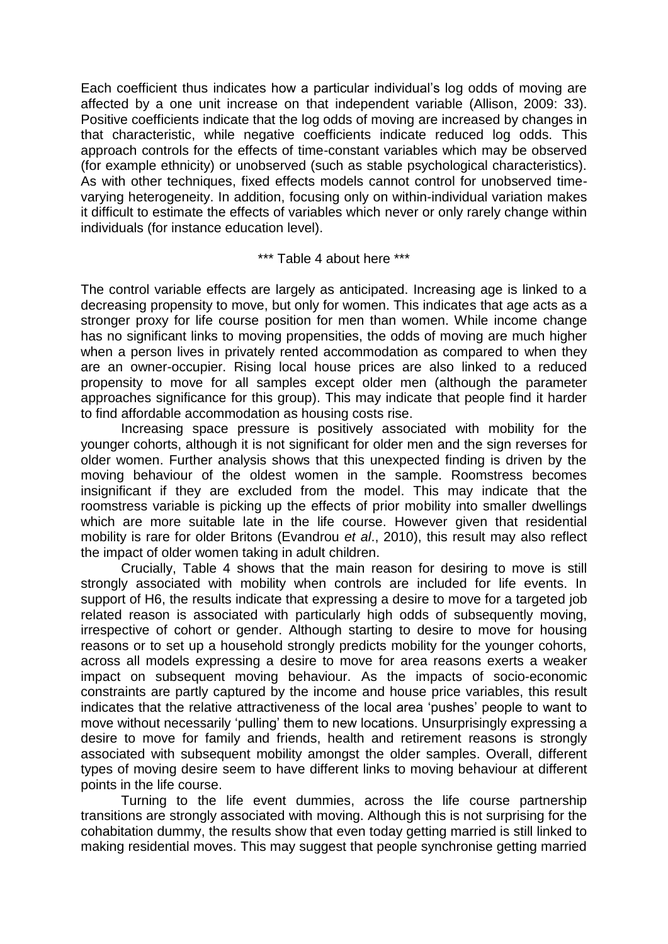Each coefficient thus indicates how a particular individual's log odds of moving are affected by a one unit increase on that independent variable (Allison, 2009: 33). Positive coefficients indicate that the log odds of moving are increased by changes in that characteristic, while negative coefficients indicate reduced log odds. This approach controls for the effects of time-constant variables which may be observed (for example ethnicity) or unobserved (such as stable psychological characteristics). As with other techniques, fixed effects models cannot control for unobserved timevarying heterogeneity. In addition, focusing only on within-individual variation makes it difficult to estimate the effects of variables which never or only rarely change within individuals (for instance education level).

#### \*\*\* Table 4 about here \*\*\*

The control variable effects are largely as anticipated. Increasing age is linked to a decreasing propensity to move, but only for women. This indicates that age acts as a stronger proxy for life course position for men than women. While income change has no significant links to moving propensities, the odds of moving are much higher when a person lives in privately rented accommodation as compared to when they are an owner-occupier. Rising local house prices are also linked to a reduced propensity to move for all samples except older men (although the parameter approaches significance for this group). This may indicate that people find it harder to find affordable accommodation as housing costs rise.

Increasing space pressure is positively associated with mobility for the younger cohorts, although it is not significant for older men and the sign reverses for older women. Further analysis shows that this unexpected finding is driven by the moving behaviour of the oldest women in the sample. Roomstress becomes insignificant if they are excluded from the model. This may indicate that the roomstress variable is picking up the effects of prior mobility into smaller dwellings which are more suitable late in the life course. However given that residential mobility is rare for older Britons (Evandrou *et al*., 2010), this result may also reflect the impact of older women taking in adult children.

Crucially, Table 4 shows that the main reason for desiring to move is still strongly associated with mobility when controls are included for life events. In support of H6, the results indicate that expressing a desire to move for a targeted job related reason is associated with particularly high odds of subsequently moving, irrespective of cohort or gender. Although starting to desire to move for housing reasons or to set up a household strongly predicts mobility for the younger cohorts, across all models expressing a desire to move for area reasons exerts a weaker impact on subsequent moving behaviour. As the impacts of socio-economic constraints are partly captured by the income and house price variables, this result indicates that the relative attractiveness of the local area 'pushes' people to want to move without necessarily 'pulling' them to new locations. Unsurprisingly expressing a desire to move for family and friends, health and retirement reasons is strongly associated with subsequent mobility amongst the older samples. Overall, different types of moving desire seem to have different links to moving behaviour at different points in the life course.

Turning to the life event dummies, across the life course partnership transitions are strongly associated with moving. Although this is not surprising for the cohabitation dummy, the results show that even today getting married is still linked to making residential moves. This may suggest that people synchronise getting married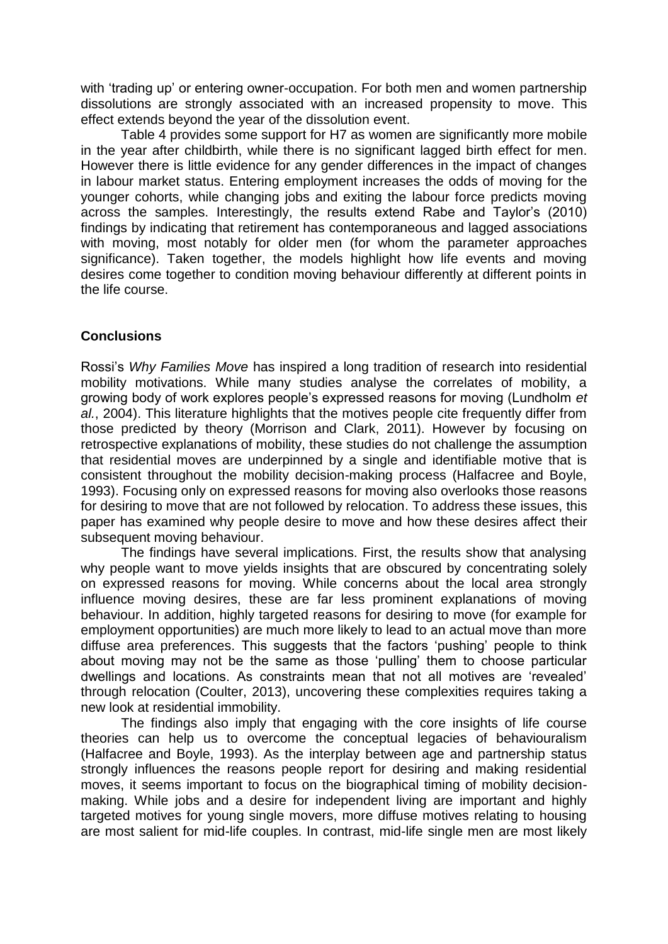with 'trading up' or entering owner-occupation. For both men and women partnership dissolutions are strongly associated with an increased propensity to move. This effect extends beyond the year of the dissolution event.

Table 4 provides some support for H7 as women are significantly more mobile in the year after childbirth, while there is no significant lagged birth effect for men. However there is little evidence for any gender differences in the impact of changes in labour market status. Entering employment increases the odds of moving for the younger cohorts, while changing jobs and exiting the labour force predicts moving across the samples. Interestingly, the results extend Rabe and Taylor's (2010) findings by indicating that retirement has contemporaneous and lagged associations with moving, most notably for older men (for whom the parameter approaches significance). Taken together, the models highlight how life events and moving desires come together to condition moving behaviour differently at different points in the life course.

## **Conclusions**

Rossi's *Why Families Move* has inspired a long tradition of research into residential mobility motivations. While many studies analyse the correlates of mobility, a growing body of work explores people's expressed reasons for moving (Lundholm *et al.*, 2004). This literature highlights that the motives people cite frequently differ from those predicted by theory (Morrison and Clark, 2011). However by focusing on retrospective explanations of mobility, these studies do not challenge the assumption that residential moves are underpinned by a single and identifiable motive that is consistent throughout the mobility decision-making process (Halfacree and Boyle, 1993). Focusing only on expressed reasons for moving also overlooks those reasons for desiring to move that are not followed by relocation. To address these issues, this paper has examined why people desire to move and how these desires affect their subsequent moving behaviour.

The findings have several implications. First, the results show that analysing why people want to move yields insights that are obscured by concentrating solely on expressed reasons for moving. While concerns about the local area strongly influence moving desires, these are far less prominent explanations of moving behaviour. In addition, highly targeted reasons for desiring to move (for example for employment opportunities) are much more likely to lead to an actual move than more diffuse area preferences. This suggests that the factors 'pushing' people to think about moving may not be the same as those 'pulling' them to choose particular dwellings and locations. As constraints mean that not all motives are 'revealed' through relocation (Coulter, 2013), uncovering these complexities requires taking a new look at residential immobility.

The findings also imply that engaging with the core insights of life course theories can help us to overcome the conceptual legacies of behaviouralism (Halfacree and Boyle, 1993). As the interplay between age and partnership status strongly influences the reasons people report for desiring and making residential moves, it seems important to focus on the biographical timing of mobility decisionmaking. While jobs and a desire for independent living are important and highly targeted motives for young single movers, more diffuse motives relating to housing are most salient for mid-life couples. In contrast, mid-life single men are most likely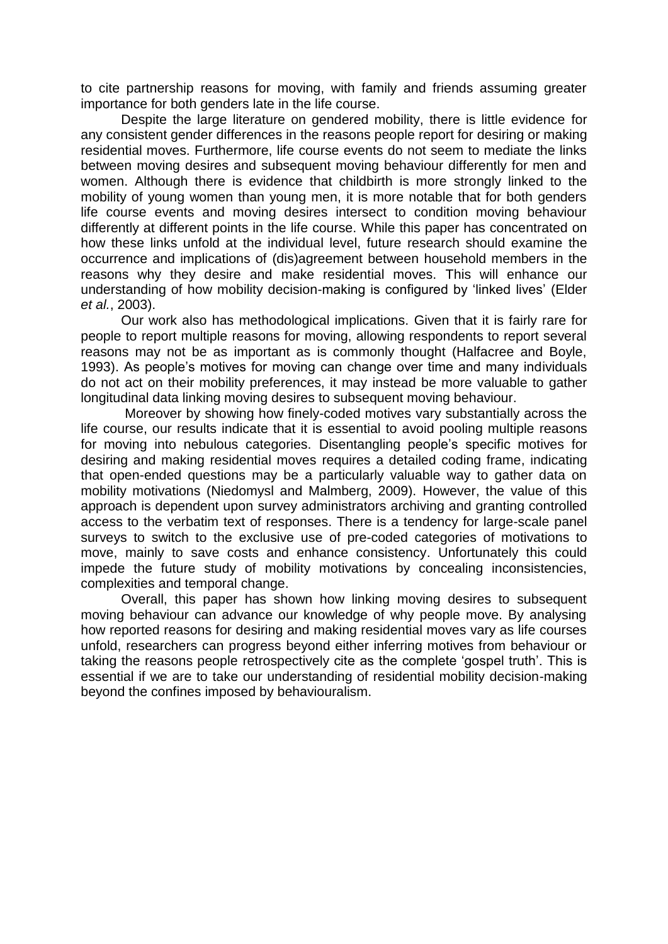to cite partnership reasons for moving, with family and friends assuming greater importance for both genders late in the life course.

Despite the large literature on gendered mobility, there is little evidence for any consistent gender differences in the reasons people report for desiring or making residential moves. Furthermore, life course events do not seem to mediate the links between moving desires and subsequent moving behaviour differently for men and women. Although there is evidence that childbirth is more strongly linked to the mobility of young women than young men, it is more notable that for both genders life course events and moving desires intersect to condition moving behaviour differently at different points in the life course. While this paper has concentrated on how these links unfold at the individual level, future research should examine the occurrence and implications of (dis)agreement between household members in the reasons why they desire and make residential moves. This will enhance our understanding of how mobility decision-making is configured by 'linked lives' (Elder *et al.*, 2003).

Our work also has methodological implications. Given that it is fairly rare for people to report multiple reasons for moving, allowing respondents to report several reasons may not be as important as is commonly thought (Halfacree and Boyle, 1993). As people's motives for moving can change over time and many individuals do not act on their mobility preferences, it may instead be more valuable to gather longitudinal data linking moving desires to subsequent moving behaviour.

Moreover by showing how finely-coded motives vary substantially across the life course, our results indicate that it is essential to avoid pooling multiple reasons for moving into nebulous categories. Disentangling people's specific motives for desiring and making residential moves requires a detailed coding frame, indicating that open-ended questions may be a particularly valuable way to gather data on mobility motivations (Niedomysl and Malmberg, 2009). However, the value of this approach is dependent upon survey administrators archiving and granting controlled access to the verbatim text of responses. There is a tendency for large-scale panel surveys to switch to the exclusive use of pre-coded categories of motivations to move, mainly to save costs and enhance consistency. Unfortunately this could impede the future study of mobility motivations by concealing inconsistencies, complexities and temporal change.

Overall, this paper has shown how linking moving desires to subsequent moving behaviour can advance our knowledge of why people move. By analysing how reported reasons for desiring and making residential moves vary as life courses unfold, researchers can progress beyond either inferring motives from behaviour or taking the reasons people retrospectively cite as the complete 'gospel truth'. This is essential if we are to take our understanding of residential mobility decision-making beyond the confines imposed by behaviouralism.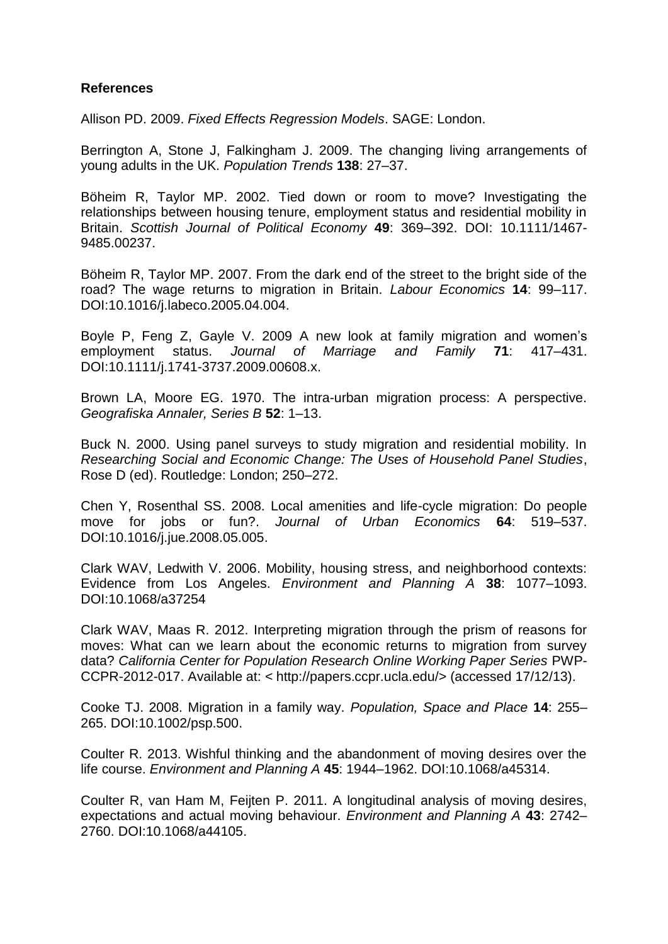#### **References**

Allison PD. 2009. *Fixed Effects Regression Models*. SAGE: London.

Berrington A, Stone J, Falkingham J. 2009. The changing living arrangements of young adults in the UK. *Population Trends* **138**: 27–37.

Böheim R, Taylor MP. 2002. Tied down or room to move? Investigating the relationships between housing tenure, employment status and residential mobility in Britain. *Scottish Journal of Political Economy* **49**: 369–392. DOI: 10.1111/1467- 9485.00237.

Böheim R, Taylor MP. 2007. From the dark end of the street to the bright side of the road? The wage returns to migration in Britain. *Labour Economics* **14**: 99–117. DOI:10.1016/j.labeco.2005.04.004.

Boyle P, Feng Z, Gayle V. 2009 A new look at family migration and women's employment status. *Journal of Marriage and Family* **71**: 417–431. DOI:10.1111/j.1741-3737.2009.00608.x.

Brown LA, Moore EG. 1970. The intra-urban migration process: A perspective. *Geografiska Annaler, Series B* **52**: 1–13.

Buck N. 2000. Using panel surveys to study migration and residential mobility. In *Researching Social and Economic Change: The Uses of Household Panel Studies*, Rose D (ed). Routledge: London; 250–272.

Chen Y, Rosenthal SS. 2008. Local amenities and life-cycle migration: Do people move for jobs or fun?. *Journal of Urban Economics* **64**: 519–537. DOI:10.1016/j.jue.2008.05.005.

Clark WAV, Ledwith V. 2006. Mobility, housing stress, and neighborhood contexts: Evidence from Los Angeles. *Environment and Planning A* **38**: 1077–1093. DOI:10.1068/a37254

Clark WAV, Maas R. 2012. Interpreting migration through the prism of reasons for moves: What can we learn about the economic returns to migration from survey data? *California Center for Population Research Online Working Paper Series* PWP-CCPR-2012-017. Available at: < http://papers.ccpr.ucla.edu/> (accessed 17/12/13).

Cooke TJ. 2008. Migration in a family way. *Population, Space and Place* **14**: 255– 265. DOI:10.1002/psp.500.

Coulter R. 2013. Wishful thinking and the abandonment of moving desires over the life course. *Environment and Planning A* **45**: 1944–1962. DOI:10.1068/a45314.

Coulter R, van Ham M, Feijten P. 2011. A longitudinal analysis of moving desires, expectations and actual moving behaviour. *Environment and Planning A* **43**: 2742– 2760. DOI:10.1068/a44105.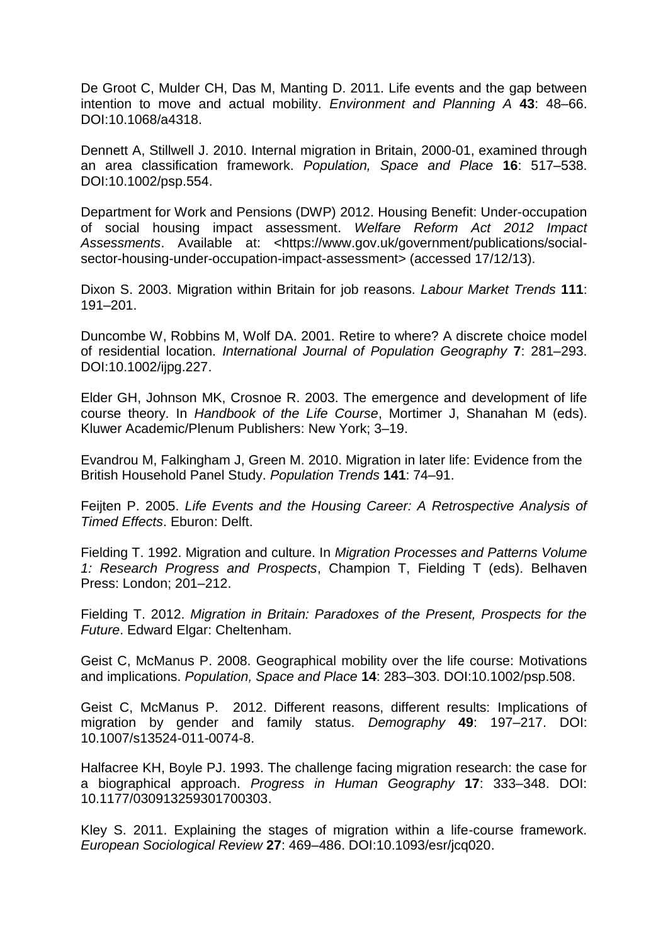De Groot C, Mulder CH, Das M, Manting D. 2011. Life events and the gap between intention to move and actual mobility. *Environment and Planning A* **43**: 48–66. DOI:10.1068/a4318.

Dennett A, Stillwell J. 2010. Internal migration in Britain, 2000-01, examined through an area classification framework. *Population, Space and Place* **16**: 517–538. DOI:10.1002/psp.554.

Department for Work and Pensions (DWP) 2012. Housing Benefit: Under-occupation of social housing impact assessment. *Welfare Reform Act 2012 Impact Assessments*. Available at: <https://www.gov.uk/government/publications/socialsector-housing-under-occupation-impact-assessment> (accessed 17/12/13).

Dixon S. 2003. Migration within Britain for job reasons. *Labour Market Trends* **111**: 191–201.

Duncombe W, Robbins M, Wolf DA. 2001. Retire to where? A discrete choice model of residential location. *International Journal of Population Geography* **7**: 281–293. DOI:10.1002/ijpg.227.

Elder GH, Johnson MK, Crosnoe R. 2003. The emergence and development of life course theory. In *Handbook of the Life Course*, Mortimer J, Shanahan M (eds). Kluwer Academic/Plenum Publishers: New York; 3–19.

Evandrou M, Falkingham J, Green M. 2010. Migration in later life: Evidence from the British Household Panel Study. *Population Trends* **141**: 74–91.

Feijten P. 2005. *Life Events and the Housing Career: A Retrospective Analysis of Timed Effects*. Eburon: Delft.

Fielding T. 1992. Migration and culture. In *Migration Processes and Patterns Volume 1: Research Progress and Prospects*, Champion T, Fielding T (eds). Belhaven Press: London; 201–212.

Fielding T. 2012. *Migration in Britain: Paradoxes of the Present, Prospects for the Future*. Edward Elgar: Cheltenham.

Geist C, McManus P. 2008. Geographical mobility over the life course: Motivations and implications. *Population, Space and Place* **14**: 283–303. DOI:10.1002/psp.508.

Geist C, McManus P. 2012. Different reasons, different results: Implications of migration by gender and family status. *Demography* **49**: 197–217. DOI: 10.1007/s13524-011-0074-8.

Halfacree KH, Boyle PJ. 1993. The challenge facing migration research: the case for a biographical approach. *Progress in Human Geography* **17**: 333–348. DOI: 10.1177/030913259301700303.

Kley S. 2011. Explaining the stages of migration within a life-course framework. *European Sociological Review* **27**: 469–486. DOI:10.1093/esr/jcq020.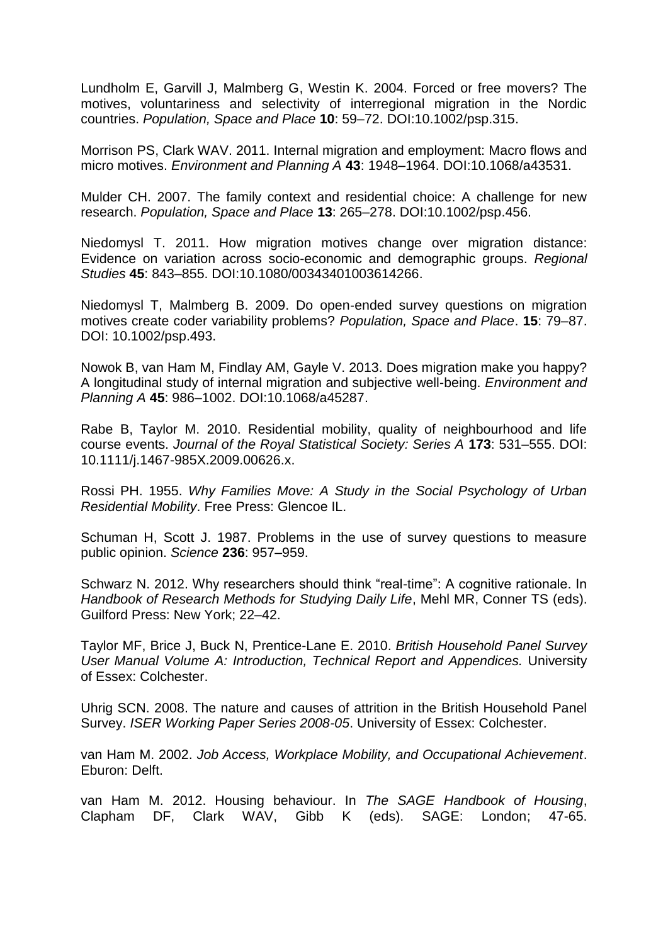Lundholm E, Garvill J, Malmberg G, Westin K. 2004. Forced or free movers? The motives, voluntariness and selectivity of interregional migration in the Nordic countries. *Population, Space and Place* **10**: 59–72. DOI:10.1002/psp.315.

Morrison PS, Clark WAV. 2011. Internal migration and employment: Macro flows and micro motives. *Environment and Planning A* **43**: 1948–1964. DOI:10.1068/a43531.

Mulder CH. 2007. The family context and residential choice: A challenge for new research. *Population, Space and Place* **13**: 265–278. DOI:10.1002/psp.456.

Niedomysl T. 2011. How migration motives change over migration distance: Evidence on variation across socio-economic and demographic groups. *Regional Studies* **45**: 843–855. DOI:10.1080/00343401003614266.

Niedomysl T, Malmberg B. 2009. Do open‐ended survey questions on migration motives create coder variability problems? *Population, Space and Place*. **15**: 79–87. DOI: 10.1002/psp.493.

Nowok B, van Ham M, Findlay AM, Gayle V. 2013. Does migration make you happy? A longitudinal study of internal migration and subjective well-being. *Environment and Planning A* **45**: 986–1002. DOI:10.1068/a45287.

Rabe B, Taylor M. 2010. Residential mobility, quality of neighbourhood and life course events. *Journal of the Royal Statistical Society: Series A* **173**: 531–555. DOI: 10.1111/j.1467-985X.2009.00626.x.

Rossi PH. 1955. *Why Families Move: A Study in the Social Psychology of Urban Residential Mobility*. Free Press: Glencoe IL.

Schuman H, Scott J. 1987. Problems in the use of survey questions to measure public opinion. *Science* **236**: 957–959.

Schwarz N. 2012. Why researchers should think "real-time": A cognitive rationale. In *Handbook of Research Methods for Studying Daily Life*, Mehl MR, Conner TS (eds). Guilford Press: New York; 22–42.

Taylor MF, Brice J, Buck N, Prentice-Lane E. 2010. *British Household Panel Survey User Manual Volume A: Introduction, Technical Report and Appendices.* University of Essex: Colchester.

Uhrig SCN. 2008. The nature and causes of attrition in the British Household Panel Survey. *ISER Working Paper Series 2008-05*. University of Essex: Colchester.

van Ham M. 2002. *Job Access, Workplace Mobility, and Occupational Achievement*. Eburon: Delft.

van Ham M. 2012. Housing behaviour. In *The SAGE Handbook of Housing*, Clapham DF, Clark WAV, Gibb K (eds). SAGE: London; 47-65.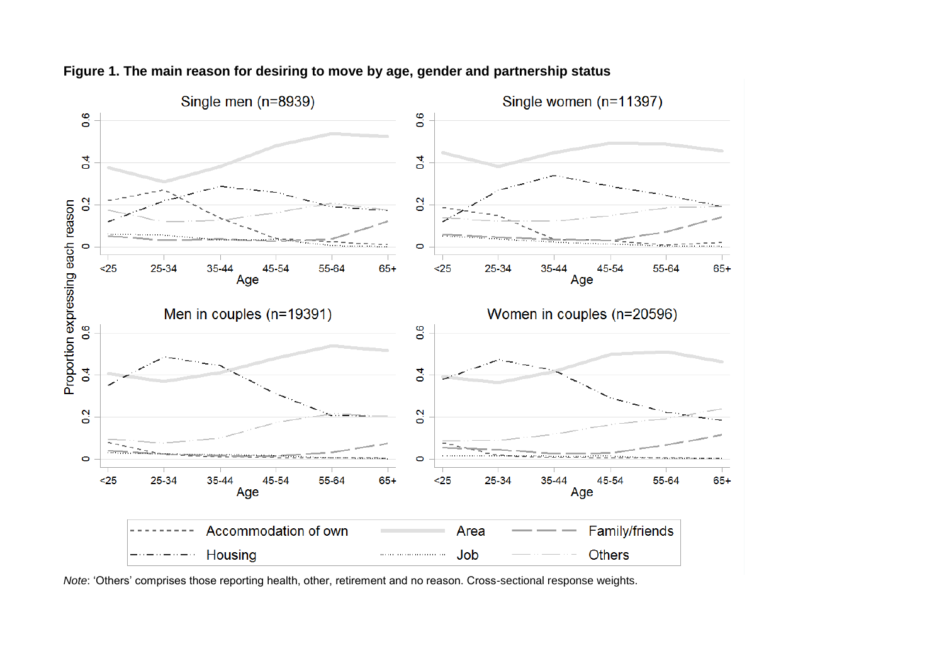



*Note*: 'Others' comprises those reporting health, other, retirement and no reason. Cross-sectional response weights.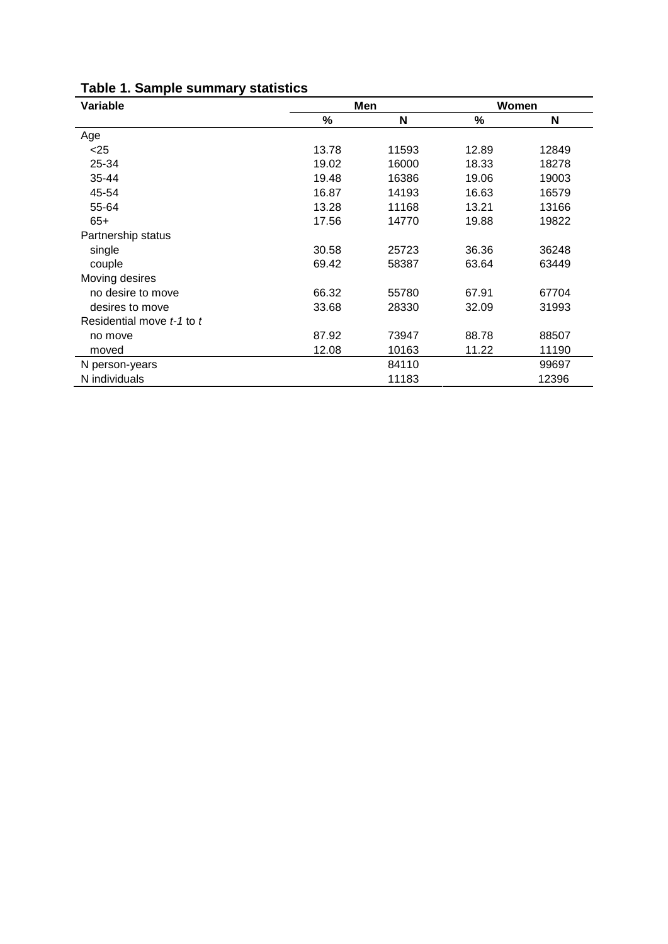| Variable                  |       | Men   | Women |       |  |  |
|---------------------------|-------|-------|-------|-------|--|--|
|                           | $\%$  | N     | %     | N     |  |  |
| Age                       |       |       |       |       |  |  |
| $25$                      | 13.78 | 11593 | 12.89 | 12849 |  |  |
| 25-34                     | 19.02 | 16000 | 18.33 | 18278 |  |  |
| 35-44                     | 19.48 | 16386 | 19.06 | 19003 |  |  |
| 45-54                     | 16.87 | 14193 | 16.63 | 16579 |  |  |
| 55-64                     | 13.28 | 11168 | 13.21 | 13166 |  |  |
| $65+$                     | 17.56 | 14770 | 19.88 | 19822 |  |  |
| Partnership status        |       |       |       |       |  |  |
| single                    | 30.58 | 25723 | 36.36 | 36248 |  |  |
| couple                    | 69.42 | 58387 | 63.64 | 63449 |  |  |
| Moving desires            |       |       |       |       |  |  |
| no desire to move         | 66.32 | 55780 | 67.91 | 67704 |  |  |
| desires to move           | 33.68 | 28330 | 32.09 | 31993 |  |  |
| Residential move t-1 to t |       |       |       |       |  |  |
| no move                   | 87.92 | 73947 | 88.78 | 88507 |  |  |
| moved                     | 12.08 | 10163 | 11.22 | 11190 |  |  |
| N person-years            |       | 84110 |       | 99697 |  |  |
| N individuals             |       | 11183 |       | 12396 |  |  |

## **Table 1. Sample summary statistics**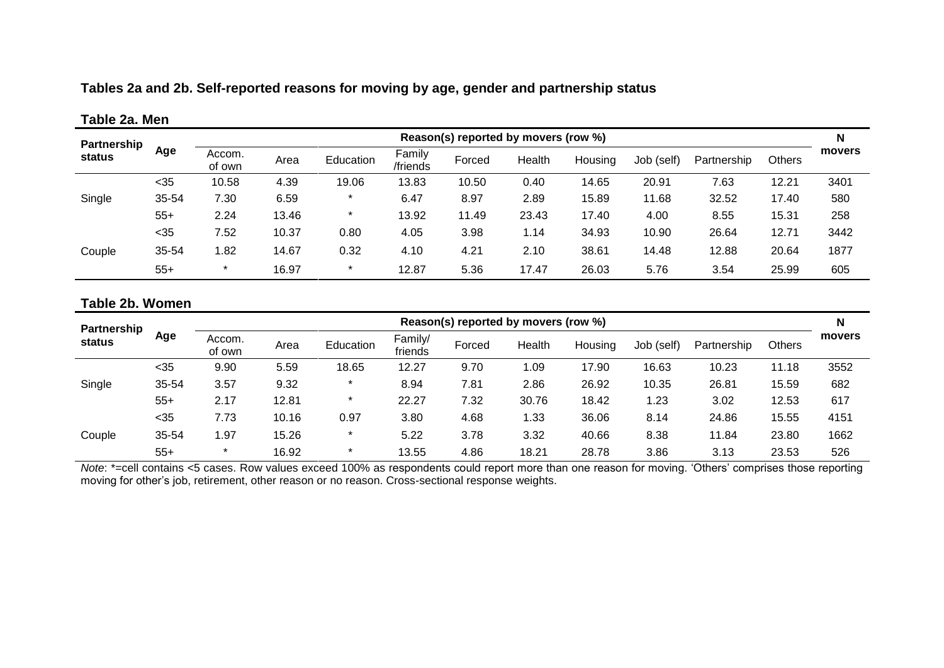## **Tables 2a and 2b. Self-reported reasons for moving by age, gender and partnership status**

| <b>Partnership</b> |       | Reason(s) reported by movers (row %) |       |           |                    |        |        |         |            |             |               |        |
|--------------------|-------|--------------------------------------|-------|-----------|--------------------|--------|--------|---------|------------|-------------|---------------|--------|
| status             | Age   | Accom.<br>of own                     | Area  | Education | Family<br>/friends | Forced | Health | Housing | Job (self) | Partnership | <b>Others</b> | movers |
| Single             | $35$  | 10.58                                | 4.39  | 19.06     | 13.83              | 10.50  | 0.40   | 14.65   | 20.91      | 7.63        | 12.21         | 3401   |
|                    | 35-54 | 7.30                                 | 6.59  | $\star$   | 6.47               | 8.97   | 2.89   | 15.89   | 11.68      | 32.52       | 17.40         | 580    |
|                    | $55+$ | 2.24                                 | 13.46 | $\star$   | 13.92              | 11.49  | 23.43  | 17.40   | 4.00       | 8.55        | 15.31         | 258    |
| Couple             | $35$  | 7.52                                 | 10.37 | 0.80      | 4.05               | 3.98   | 1.14   | 34.93   | 10.90      | 26.64       | 12.71         | 3442   |
|                    | 35-54 | 1.82                                 | 14.67 | 0.32      | 4.10               | 4.21   | 2.10   | 38.61   | 14.48      | 12.88       | 20.64         | 1877   |
|                    | $55+$ | *                                    | 16.97 | $\ast$    | 12.87              | 5.36   | 17.47  | 26.03   | 5.76       | 3.54        | 25.99         | 605    |

#### **Table 2a. Men**

#### **Table 2b. Women**

| Partnership<br>status | Reason(s) reported by movers (row %) |                  |       |           |                    |        |        |         |            |             |        | N      |
|-----------------------|--------------------------------------|------------------|-------|-----------|--------------------|--------|--------|---------|------------|-------------|--------|--------|
|                       | Age                                  | Accom.<br>of own | Area  | Education | Family/<br>friends | Forced | Health | Housing | Job (self) | Partnership | Others | movers |
| Single                | $35$                                 | 9.90             | 5.59  | 18.65     | 12.27              | 9.70   | .09    | 17.90   | 16.63      | 10.23       | 11.18  | 3552   |
|                       | 35-54                                | 3.57             | 9.32  |           | 8.94               | 7.81   | 2.86   | 26.92   | 10.35      | 26.81       | 15.59  | 682    |
|                       | $55+$                                | 2.17             | 12.81 | $\star$   | 22.27              | 7.32   | 30.76  | 18.42   | 1.23       | 3.02        | 12.53  | 617    |
| Couple                | $35$                                 | 7.73             | 10.16 | 0.97      | 3.80               | 4.68   | .33    | 36.06   | 8.14       | 24.86       | 15.55  | 4151   |
|                       | 35-54                                | 1.97             | 15.26 | $\star$   | 5.22               | 3.78   | 3.32   | 40.66   | 8.38       | 11.84       | 23.80  | 1662   |
|                       | $55+$                                |                  | 16.92 | $\star$   | 13.55              | 4.86   | 18.21  | 28.78   | 3.86       | 3.13        | 23.53  | 526    |

*Note*: \*=cell contains <5 cases. Row values exceed 100% as respondents could report more than one reason for moving. 'Others' comprises those reporting moving for other's job, retirement, other reason or no reason. Cross-sectional response weights.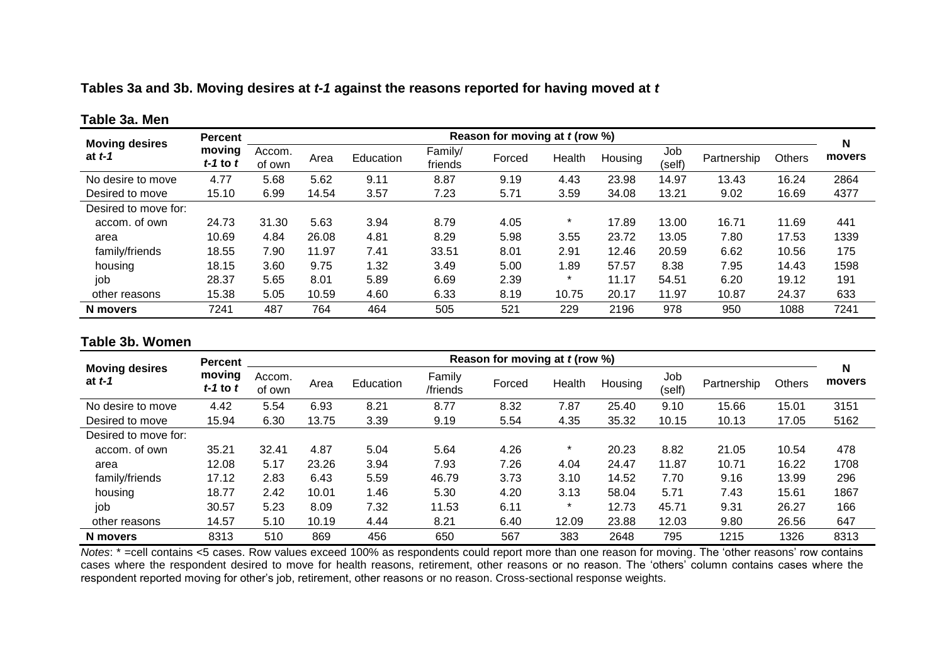| Tables 3a and 3b. Moving desires at $t$ -1 against the reasons reported for having moved at $t$ |  |  |  |
|-------------------------------------------------------------------------------------------------|--|--|--|
|-------------------------------------------------------------------------------------------------|--|--|--|

| <b>Moving desires</b> | <b>Percent</b>         |                  |       |           |                    | Reason for moving at t (row %) |         |         |               |             |        | <b>N</b> |
|-----------------------|------------------------|------------------|-------|-----------|--------------------|--------------------------------|---------|---------|---------------|-------------|--------|----------|
| at $t-1$              | movina<br>$t-1$ to $t$ | Accom.<br>of own | Area  | Education | Family/<br>friends | Forced                         | Health  | Housing | Job<br>'self) | Partnership | Others | movers   |
| No desire to move     | 4.77                   | 5.68             | 5.62  | 9.11      | 8.87               | 9.19                           | 4.43    | 23.98   | 14.97         | 13.43       | 16.24  | 2864     |
| Desired to move       | 15.10                  | 6.99             | 14.54 | 3.57      | 7.23               | 5.71                           | 3.59    | 34.08   | 13.21         | 9.02        | 16.69  | 4377     |
| Desired to move for:  |                        |                  |       |           |                    |                                |         |         |               |             |        |          |
| accom, of own         | 24.73                  | 31.30            | 5.63  | 3.94      | 8.79               | 4.05                           |         | 17.89   | 13.00         | 16.71       | 11.69  | 441      |
| area                  | 10.69                  | 4.84             | 26.08 | 4.81      | 8.29               | 5.98                           | 3.55    | 23.72   | 13.05         | 7.80        | 17.53  | 1339     |
| family/friends        | 18.55                  | 7.90             | 11.97 | 7.41      | 33.51              | 8.01                           | 2.91    | 12.46   | 20.59         | 6.62        | 10.56  | 175      |
| housing               | 18.15                  | 3.60             | 9.75  | 1.32      | 3.49               | 5.00                           | 1.89    | 57.57   | 8.38          | 7.95        | 14.43  | 1598     |
| job                   | 28.37                  | 5.65             | 8.01  | 5.89      | 6.69               | 2.39                           | $\star$ | 11.17   | 54.51         | 6.20        | 19.12  | 191      |
| other reasons         | 15.38                  | 5.05             | 10.59 | 4.60      | 6.33               | 8.19                           | 10.75   | 20.17   | 11.97         | 10.87       | 24.37  | 633      |
| N movers              | 7241                   | 487              | 764   | 464       | 505                | 521                            | 229     | 2196    | 978           | 950         | 1088   | 7241     |

#### **Table 3a. Men**

#### **Table 3b. Women**

|                                         | <b>Percent</b>       |                  |       |           |                    | Reason for moving at t (row %) |         |         |               |             |               | N      |
|-----------------------------------------|----------------------|------------------|-------|-----------|--------------------|--------------------------------|---------|---------|---------------|-------------|---------------|--------|
| <b>Moving desires</b><br>at <i>t</i> -1 | moving<br>$t-1$ to t | Accom.<br>of own | Area  | Education | Family<br>/friends | Forced                         | Health  | Housing | Job<br>(self) | Partnership | <b>Others</b> | movers |
| No desire to move                       | 4.42                 | 5.54             | 6.93  | 8.21      | 8.77               | 8.32                           | 7.87    | 25.40   | 9.10          | 15.66       | 15.01         | 3151   |
| Desired to move                         | 15.94                | 6.30             | 13.75 | 3.39      | 9.19               | 5.54                           | 4.35    | 35.32   | 10.15         | 10.13       | 17.05         | 5162   |
| Desired to move for:                    |                      |                  |       |           |                    |                                |         |         |               |             |               |        |
| accom, of own                           | 35.21                | 32.41            | 4.87  | 5.04      | 5.64               | 4.26                           | $\star$ | 20.23   | 8.82          | 21.05       | 10.54         | 478    |
| area                                    | 12.08                | 5.17             | 23.26 | 3.94      | 7.93               | 7.26                           | 4.04    | 24.47   | 11.87         | 10.71       | 16.22         | 1708   |
| family/friends                          | 17.12                | 2.83             | 6.43  | 5.59      | 46.79              | 3.73                           | 3.10    | 14.52   | 7.70          | 9.16        | 13.99         | 296    |
| housing                                 | 18.77                | 2.42             | 10.01 | 1.46      | 5.30               | 4.20                           | 3.13    | 58.04   | 5.71          | 7.43        | 15.61         | 1867   |
| job                                     | 30.57                | 5.23             | 8.09  | 7.32      | 11.53              | 6.11                           |         | 12.73   | 45.71         | 9.31        | 26.27         | 166    |
| other reasons                           | 14.57                | 5.10             | 10.19 | 4.44      | 8.21               | 6.40                           | 12.09   | 23.88   | 12.03         | 9.80        | 26.56         | 647    |
| N movers                                | 8313                 | 510              | 869   | 456       | 650                | 567                            | 383     | 2648    | 795           | 1215        | 1326          | 8313   |

*Notes*: \* =cell contains <5 cases. Row values exceed 100% as respondents could report more than one reason for moving. The 'other reasons' row contains cases where the respondent desired to move for health reasons, retirement, other reasons or no reason. The 'others' column contains cases where the respondent reported moving for other's job, retirement, other reasons or no reason. Cross-sectional response weights.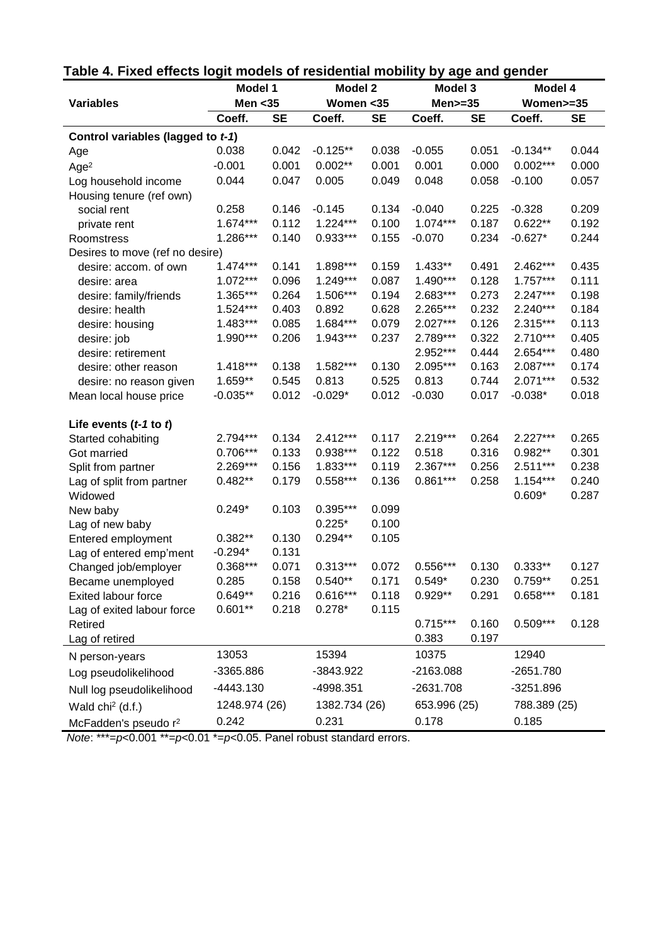|                                   | Model 1       |           | <b>Model 2</b> |           | Model 3      |           | Model 4      |           |  |
|-----------------------------------|---------------|-----------|----------------|-----------|--------------|-----------|--------------|-----------|--|
| <b>Variables</b>                  | Men < 35      |           | Women <35      |           | $Men = 35$   |           | Women>=35    |           |  |
|                                   | Coeff.        | <b>SE</b> | Coeff.         | <b>SE</b> | Coeff.       | <b>SE</b> | Coeff.       | <b>SE</b> |  |
| Control variables (lagged to t-1) |               |           |                |           |              |           |              |           |  |
| Age                               | 0.038         | 0.042     | $-0.125**$     | 0.038     | $-0.055$     | 0.051     | $-0.134**$   | 0.044     |  |
| Age <sup>2</sup>                  | $-0.001$      | 0.001     | $0.002**$      | 0.001     | 0.001        | 0.000     | $0.002***$   | 0.000     |  |
| Log household income              | 0.044         | 0.047     | 0.005          | 0.049     | 0.048        | 0.058     | $-0.100$     | 0.057     |  |
| Housing tenure (ref own)          |               |           |                |           |              |           |              |           |  |
| social rent                       | 0.258         | 0.146     | $-0.145$       | 0.134     | $-0.040$     | 0.225     | $-0.328$     | 0.209     |  |
| private rent                      | $1.674***$    | 0.112     | $1.224***$     | 0.100     | $1.074***$   | 0.187     | $0.622**$    | 0.192     |  |
| Roomstress                        | 1.286***      | 0.140     | $0.933***$     | 0.155     | $-0.070$     | 0.234     | $-0.627*$    | 0.244     |  |
| Desires to move (ref no desire)   |               |           |                |           |              |           |              |           |  |
| desire: accom. of own             | 1.474***      | 0.141     | 1.898***       | 0.159     | $1.433**$    | 0.491     | 2.462***     | 0.435     |  |
| desire: area                      | 1.072***      | 0.096     | 1.249***       | 0.087     | 1.490***     | 0.128     | 1.757***     | 0.111     |  |
| desire: family/friends            | 1.365***      | 0.264     | 1.506***       | 0.194     | 2.683***     | 0.273     | 2.247***     | 0.198     |  |
| desire: health                    | 1.524***      | 0.403     | 0.892          | 0.628     | 2.265***     | 0.232     | 2.240***     | 0.184     |  |
| desire: housing                   | 1.483***      | 0.085     | 1.684***       | 0.079     | $2.027***$   | 0.126     | 2.315***     | 0.113     |  |
| desire: job                       | 1.990***      | 0.206     | $1.943***$     | 0.237     | 2.789***     | 0.322     | 2.710***     | 0.405     |  |
| desire: retirement                |               |           |                |           | 2.952***     | 0.444     | 2.654***     | 0.480     |  |
| desire: other reason              | $1.418***$    | 0.138     | 1.582***       | 0.130     | 2.095***     | 0.163     | 2.087***     | 0.174     |  |
| desire: no reason given           | 1.659**       | 0.545     | 0.813          | 0.525     | 0.813        | 0.744     | $2.071***$   | 0.532     |  |
| Mean local house price            | $-0.035**$    | 0.012     | $-0.029*$      | 0.012     | $-0.030$     | 0.017     | $-0.038*$    | 0.018     |  |
| Life events $(t-1)$ to $t$ )      |               |           |                |           |              |           |              |           |  |
| Started cohabiting                | 2.794***      | 0.134     | 2.412***       | 0.117     | 2.219***     | 0.264     | $2.227***$   | 0.265     |  |
| Got married                       | $0.706***$    | 0.133     | 0.938***       | 0.122     | 0.518        | 0.316     | $0.982**$    | 0.301     |  |
| Split from partner                | 2.269***      | 0.156     | 1.833***       | 0.119     | 2.367***     | 0.256     | $2.511***$   | 0.238     |  |
| Lag of split from partner         | $0.482**$     | 0.179     | $0.558***$     | 0.136     | $0.861***$   | 0.258     | $1.154***$   | 0.240     |  |
| Widowed                           |               |           |                |           |              |           | $0.609*$     | 0.287     |  |
| New baby                          | $0.249*$      | 0.103     | 0.395***       | 0.099     |              |           |              |           |  |
| Lag of new baby                   |               |           | $0.225*$       | 0.100     |              |           |              |           |  |
| Entered employment                | $0.382**$     | 0.130     | $0.294**$      | 0.105     |              |           |              |           |  |
| Lag of entered emp'ment           | $-0.294*$     | 0.131     |                |           |              |           |              |           |  |
| Changed job/employer              | 0.368***      | 0.071     | $0.313***$     | 0.072     | $0.556***$   | 0.130     | $0.333**$    | 0.127     |  |
| Became unemployed                 | 0.285         | 0.158     | $0.540**$      | 0.171     | $0.549*$     | 0.230     | $0.759**$    | 0.251     |  |
| <b>Exited labour force</b>        | $0.649**$     | 0.216     | $0.616***$     | 0.118     | $0.929**$    | 0.291     | $0.658***$   | 0.181     |  |
| Lag of exited labour force        | $0.601**$     | 0.218     | $0.278*$       | 0.115     |              |           |              |           |  |
| Retired                           |               |           |                |           | $0.715***$   | 0.160     | $0.509***$   | 0.128     |  |
| Lag of retired                    |               |           |                |           | 0.383        | 0.197     |              |           |  |
| N person-years                    | 13053         |           | 15394          |           | 10375        |           | 12940        |           |  |
| Log pseudolikelihood              | -3365.886     |           | -3843.922      |           | -2163.088    |           | -2651.780    |           |  |
| Null log pseudolikelihood         | -4443.130     |           | -4998.351      |           | $-2631.708$  |           | $-3251.896$  |           |  |
| Wald chi <sup>2</sup> (d.f.)      | 1248.974 (26) |           | 1382.734 (26)  |           | 653.996 (25) |           | 788.389 (25) |           |  |
| McFadden's pseudo r <sup>2</sup>  | 0.242         |           | 0.231          |           | 0.178        |           | 0.185        |           |  |

## **Table 4. Fixed effects logit models of residential mobility by age and gender**

*Note*: \*\*\*=*p*<0.001 \*\*=*p*<0.01 \*=*p*<0.05. Panel robust standard errors.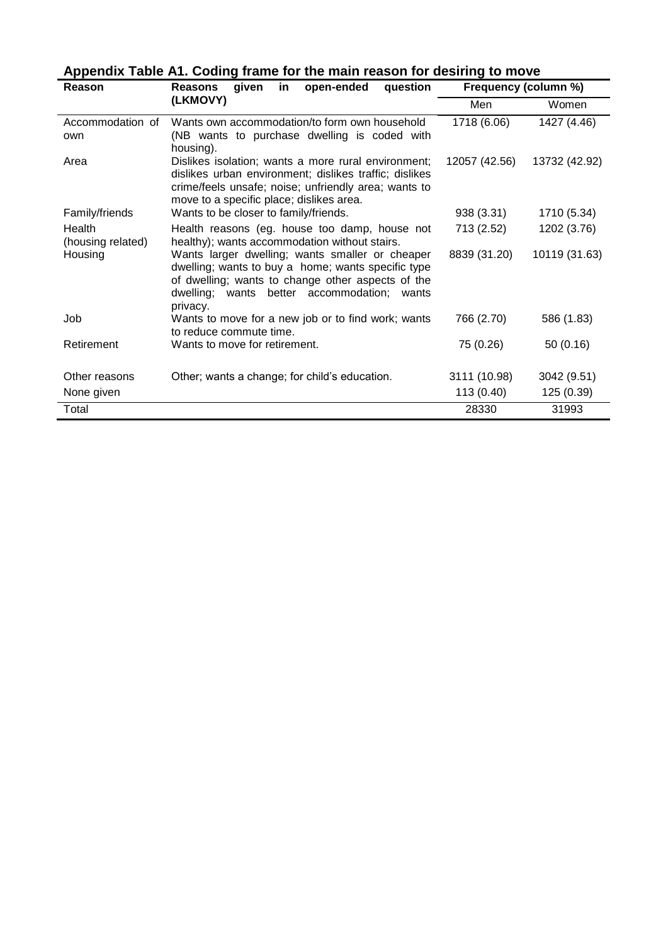| Reason                      | in<br>open-ended<br>question<br>given<br>Reasons                                                                                                                                                                      |               | Frequency (column %) |  |
|-----------------------------|-----------------------------------------------------------------------------------------------------------------------------------------------------------------------------------------------------------------------|---------------|----------------------|--|
|                             | (LKMOVY)                                                                                                                                                                                                              | Men           | Women                |  |
| Accommodation of<br>own     | Wants own accommodation/to form own household<br>(NB wants to purchase dwelling is coded with<br>housing).                                                                                                            | 1718 (6.06)   | 1427 (4.46)          |  |
| Area                        | Dislikes isolation; wants a more rural environment;<br>dislikes urban environment; dislikes traffic; dislikes<br>crime/feels unsafe; noise; unfriendly area; wants to<br>move to a specific place; dislikes area.     | 12057 (42.56) | 13732 (42.92)        |  |
| Family/friends              | Wants to be closer to family/friends.                                                                                                                                                                                 | 938 (3.31)    | 1710 (5.34)          |  |
| Health<br>(housing related) | Health reasons (eg. house too damp, house not<br>healthy); wants accommodation without stairs.                                                                                                                        | 713 (2.52)    | 1202 (3.76)          |  |
| Housing                     | Wants larger dwelling; wants smaller or cheaper<br>dwelling; wants to buy a home; wants specific type<br>of dwelling; wants to change other aspects of the<br>dwelling; wants better accommodation; wants<br>privacy. | 8839 (31.20)  | 10119 (31.63)        |  |
| Job                         | Wants to move for a new job or to find work; wants<br>to reduce commute time.                                                                                                                                         | 766 (2.70)    | 586 (1.83)           |  |
| Retirement                  | Wants to move for retirement.                                                                                                                                                                                         | 75 (0.26)     | 50(0.16)             |  |
| Other reasons               | Other; wants a change; for child's education.                                                                                                                                                                         | 3111 (10.98)  | 3042 (9.51)          |  |
| None given                  |                                                                                                                                                                                                                       | 113 (0.40)    | 125 (0.39)           |  |
| Total                       |                                                                                                                                                                                                                       | 28330         | 31993                |  |

# **Appendix Table A1. Coding frame for the main reason for desiring to move**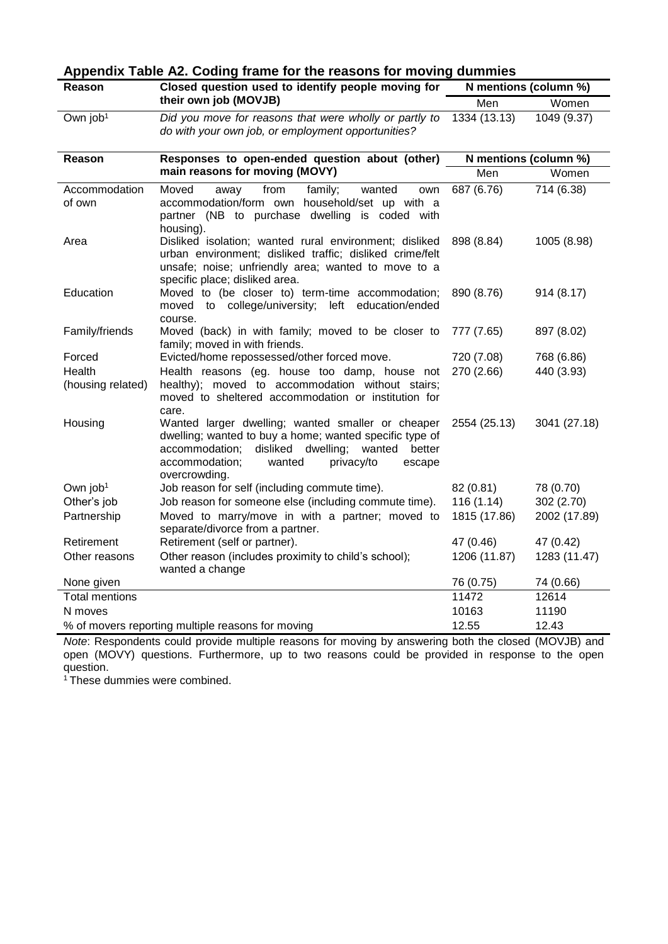| Reason                      | Closed question used to identify people moving for                                                                                                                                                                                            |              | N mentions (column %) |
|-----------------------------|-----------------------------------------------------------------------------------------------------------------------------------------------------------------------------------------------------------------------------------------------|--------------|-----------------------|
|                             | their own job (MOVJB)                                                                                                                                                                                                                         | Men          | Women                 |
| Own job <sup>1</sup>        | Did you move for reasons that were wholly or partly to<br>do with your own job, or employment opportunities?                                                                                                                                  | 1334(13.13)  | 1049(9.37)            |
| Reason                      | Responses to open-ended question about (other)                                                                                                                                                                                                |              | N mentions (column %) |
|                             | main reasons for moving (MOVY)                                                                                                                                                                                                                | Men          | Women                 |
| Accommodation<br>of own     | Moved<br>from<br>family;<br>away<br>wanted<br>own<br>accommodation/form own household/set up with a<br>partner (NB to purchase dwelling is coded with<br>housing).                                                                            | 687 (6.76)   | 714(6.38)             |
| Area                        | Disliked isolation; wanted rural environment; disliked<br>urban environment; disliked traffic; disliked crime/felt<br>unsafe; noise; unfriendly area; wanted to move to a<br>specific place; disliked area.                                   | 898 (8.84)   | 1005 (8.98)           |
| Education                   | Moved to (be closer to) term-time accommodation;<br>moved to college/university; left education/ended<br>course.                                                                                                                              | 890 (8.76)   | 914(8.17)             |
| Family/friends              | Moved (back) in with family; moved to be closer to<br>family; moved in with friends.                                                                                                                                                          | 777 (7.65)   | 897 (8.02)            |
| Forced                      | Evicted/home repossessed/other forced move.                                                                                                                                                                                                   | 720 (7.08)   | 768 (6.86)            |
| Health<br>(housing related) | Health reasons (eg. house too damp, house not<br>healthy); moved to accommodation without stairs;<br>moved to sheltered accommodation or institution for<br>care.                                                                             | 270 (2.66)   | 440 (3.93)            |
| Housing                     | Wanted larger dwelling; wanted smaller or cheaper<br>dwelling; wanted to buy a home; wanted specific type of<br>accommodation;<br>disliked dwelling;<br>wanted<br>better<br>accommodation;<br>wanted<br>privacy/to<br>escape<br>overcrowding. | 2554 (25.13) | 3041 (27.18)          |
| Own job <sup>1</sup>        | Job reason for self (including commute time).                                                                                                                                                                                                 | 82 (0.81)    | 78 (0.70)             |
| Other's job                 | Job reason for someone else (including commute time).                                                                                                                                                                                         | 116(1.14)    | 302(2.70)             |
| Partnership                 | Moved to marry/move in with a partner; moved to<br>separate/divorce from a partner.                                                                                                                                                           | 1815 (17.86) | 2002 (17.89)          |
| Retirement                  | Retirement (self or partner).                                                                                                                                                                                                                 | 47 (0.46)    | 47 (0.42)             |
| Other reasons               | Other reason (includes proximity to child's school);<br>wanted a change                                                                                                                                                                       | 1206 (11.87) | 1283 (11.47)          |
| None given                  |                                                                                                                                                                                                                                               | 76 (0.75)    | 74 (0.66)             |
| <b>Total mentions</b>       |                                                                                                                                                                                                                                               | 11472        | 12614                 |
| N moves                     |                                                                                                                                                                                                                                               | 10163        | 11190                 |
|                             | % of movers reporting multiple reasons for moving                                                                                                                                                                                             | 12.55        | 12.43                 |

#### *Note*: Respondents could provide multiple reasons for moving by answering both the closed (MOVJB) and open (MOVY) questions. Furthermore, up to two reasons could be provided in response to the open question.

<sup>1</sup> These dummies were combined.

## **Appendix Table A2. Coding frame for the reasons for moving dummies**